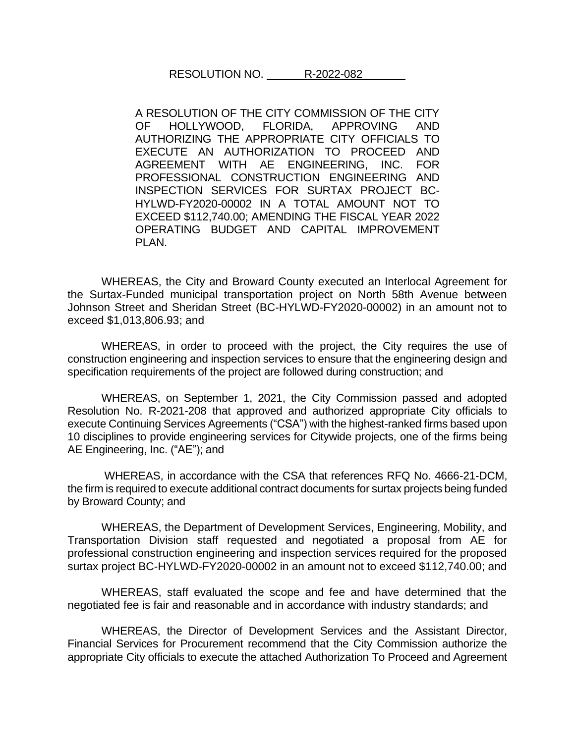A RESOLUTION OF THE CITY COMMISSION OF THE CITY OF HOLLYWOOD, FLORIDA, APPROVING AND AUTHORIZING THE APPROPRIATE CITY OFFICIALS TO EXECUTE AN AUTHORIZATION TO PROCEED AND AGREEMENT WITH AE ENGINEERING, INC. FOR PROFESSIONAL CONSTRUCTION ENGINEERING AND INSPECTION SERVICES FOR SURTAX PROJECT BC-HYLWD-FY2020-00002 IN A TOTAL AMOUNT NOT TO EXCEED \$112,740.00; AMENDING THE FISCAL YEAR 2022 OPERATING BUDGET AND CAPITAL IMPROVEMENT PLAN.

WHEREAS, the City and Broward County executed an Interlocal Agreement for the Surtax-Funded municipal transportation project on North 58th Avenue between Johnson Street and Sheridan Street (BC-HYLWD-FY2020-00002) in an amount not to exceed \$1,013,806.93; and

WHEREAS, in order to proceed with the project, the City requires the use of construction engineering and inspection services to ensure that the engineering design and specification requirements of the project are followed during construction; and

WHEREAS, on September 1, 2021, the City Commission passed and adopted Resolution No. R-2021-208 that approved and authorized appropriate City officials to execute Continuing Services Agreements ("CSA") with the highest-ranked firms based upon 10 disciplines to provide engineering services for Citywide projects, one of the firms being AE Engineering, Inc. ("AE"); and

WHEREAS, in accordance with the CSA that references RFQ No. 4666-21-DCM, the firm is required to execute additional contract documents for surtax projects being funded by Broward County; and

WHEREAS, the Department of Development Services, Engineering, Mobility, and Transportation Division staff requested and negotiated a proposal from AE for professional construction engineering and inspection services required for the proposed surtax project BC-HYLWD-FY2020-00002 in an amount not to exceed \$112,740.00; and

WHEREAS, staff evaluated the scope and fee and have determined that the negotiated fee is fair and reasonable and in accordance with industry standards; and

WHEREAS, the Director of Development Services and the Assistant Director, Financial Services for Procurement recommend that the City Commission authorize the appropriate City officials to execute the attached Authorization To Proceed and Agreement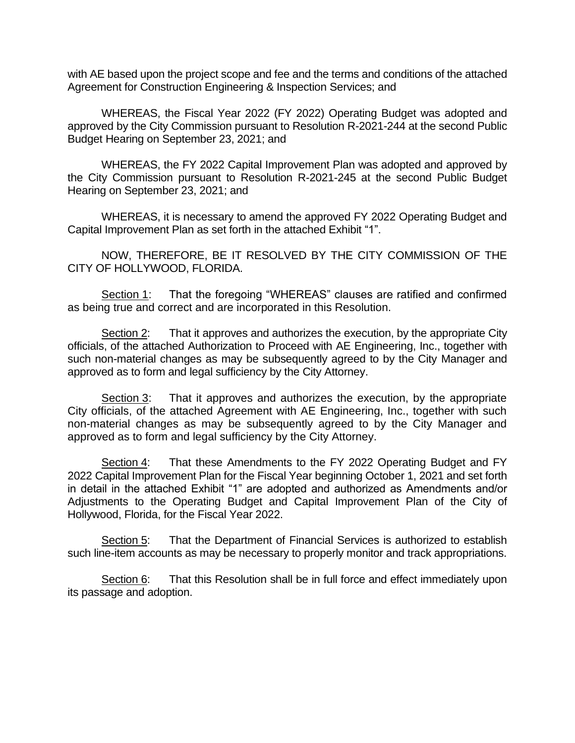with AE based upon the project scope and fee and the terms and conditions of the attached Agreement for Construction Engineering & Inspection Services; and

WHEREAS, the Fiscal Year 2022 (FY 2022) Operating Budget was adopted and approved by the City Commission pursuant to Resolution R-2021-244 at the second Public Budget Hearing on September 23, 2021; and

WHEREAS, the FY 2022 Capital Improvement Plan was adopted and approved by the City Commission pursuant to Resolution R-2021-245 at the second Public Budget Hearing on September 23, 2021; and

WHEREAS, it is necessary to amend the approved FY 2022 Operating Budget and Capital Improvement Plan as set forth in the attached Exhibit "1".

NOW, THEREFORE, BE IT RESOLVED BY THE CITY COMMISSION OF THE CITY OF HOLLYWOOD, FLORIDA.

Section 1: That the foregoing "WHEREAS" clauses are ratified and confirmed as being true and correct and are incorporated in this Resolution.

Section 2: That it approves and authorizes the execution, by the appropriate City officials, of the attached Authorization to Proceed with AE Engineering, Inc., together with such non-material changes as may be subsequently agreed to by the City Manager and approved as to form and legal sufficiency by the City Attorney.

Section 3: That it approves and authorizes the execution, by the appropriate City officials, of the attached Agreement with AE Engineering, Inc., together with such non-material changes as may be subsequently agreed to by the City Manager and approved as to form and legal sufficiency by the City Attorney.

Section 4: That these Amendments to the FY 2022 Operating Budget and FY 2022 Capital Improvement Plan for the Fiscal Year beginning October 1, 2021 and set forth in detail in the attached Exhibit "1" are adopted and authorized as Amendments and/or Adjustments to the Operating Budget and Capital Improvement Plan of the City of Hollywood, Florida, for the Fiscal Year 2022.

Section 5: That the Department of Financial Services is authorized to establish such line-item accounts as may be necessary to properly monitor and track appropriations.

Section 6: That this Resolution shall be in full force and effect immediately upon its passage and adoption.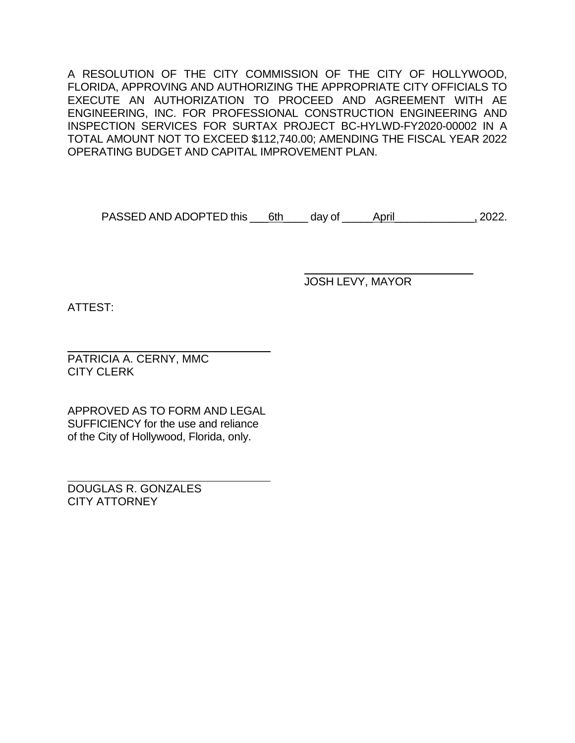A RESOLUTION OF THE CITY COMMISSION OF THE CITY OF HOLLYWOOD, FLORIDA, APPROVING AND AUTHORIZING THE APPROPRIATE CITY OFFICIALS TO EXECUTE AN AUTHORIZATION TO PROCEED AND AGREEMENT WITH AE ENGINEERING, INC. FOR PROFESSIONAL CONSTRUCTION ENGINEERING AND INSPECTION SERVICES FOR SURTAX PROJECT BC-HYLWD-FY2020-00002 IN A TOTAL AMOUNT NOT TO EXCEED \$112,740.00; AMENDING THE FISCAL YEAR 2022 OPERATING BUDGET AND CAPITAL IMPROVEMENT PLAN.

PASSED AND ADOPTED this 6th day of April 5th and 2022.

JOSH LEVY, MAYOR

ATTEST:

PATRICIA A. CERNY, MMC CITY CLERK

APPROVED AS TO FORM AND LEGAL SUFFICIENCY for the use and reliance of the City of Hollywood, Florida, only.

DOUGLAS R. GONZALES CITY ATTORNEY